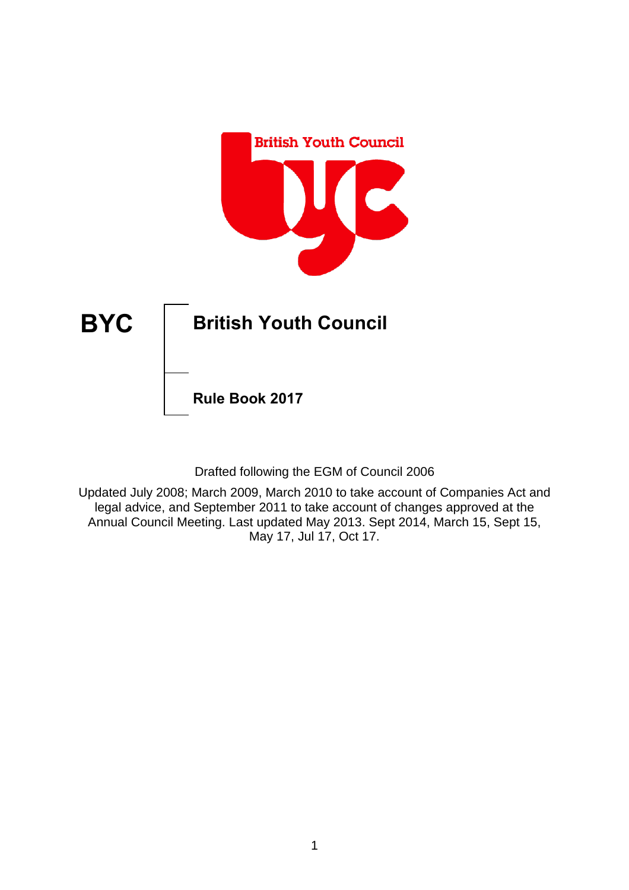

Drafted following the EGM of Council 2006

Updated July 2008; March 2009, March 2010 to take account of Companies Act and legal advice, and September 2011 to take account of changes approved at the Annual Council Meeting. Last updated May 2013. Sept 2014, March 15, Sept 15, May 17, Jul 17, Oct 17.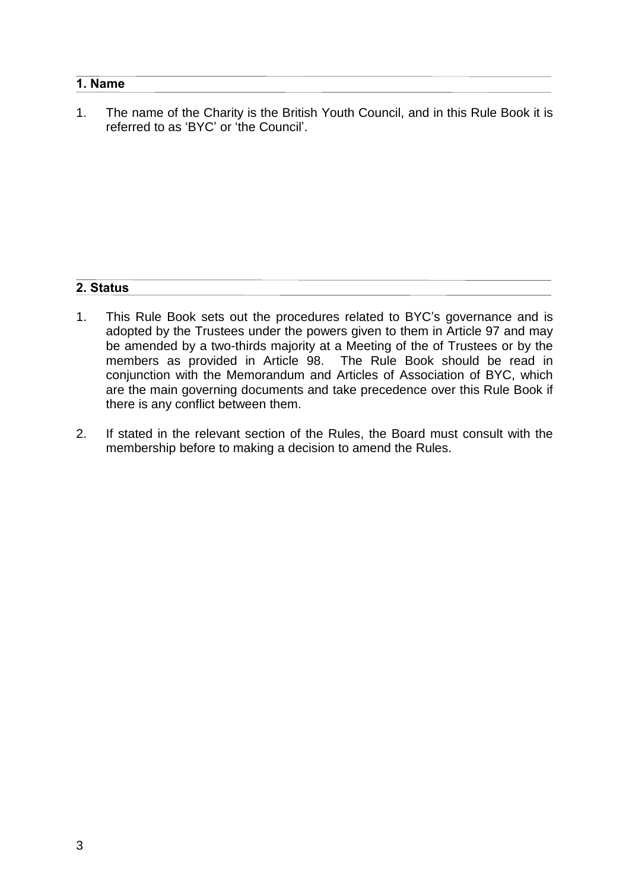### **1. Name**

1. The name of the Charity is the British Youth Council, and in this Rule Book it is referred to as 'BYC' or 'the Council'.

## **2. Status**

- 1. This Rule Book sets out the procedures related to BYC's governance and is adopted by the Trustees under the powers given to them in Article 97 and may be amended by a two-thirds majority at a Meeting of the of Trustees or by the members as provided in Article 98. The Rule Book should be read in conjunction with the Memorandum and Articles of Association of BYC, which are the main governing documents and take precedence over this Rule Book if there is any conflict between them.
- 2. If stated in the relevant section of the Rules, the Board must consult with the membership before to making a decision to amend the Rules.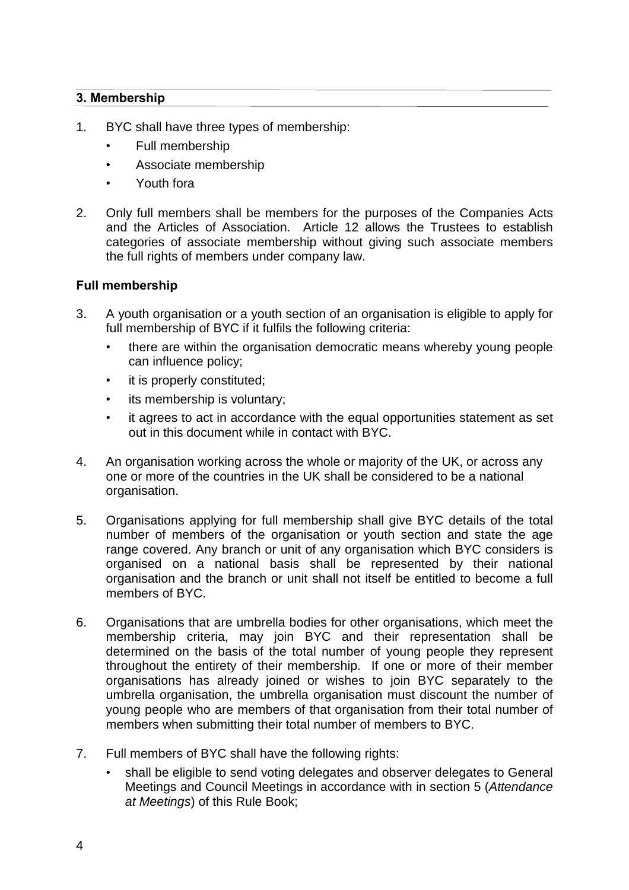## **3. Membership**

- 1. BYC shall have three types of membership:
	- Full membership
	- Associate membership
	- Youth fora
- 2. Only full members shall be members for the purposes of the Companies Acts and the Articles of Association. Article 12 allows the Trustees to establish categories of associate membership without giving such associate members the full rights of members under company law.

### **Full membership**

- 3. A youth organisation or a youth section of an organisation is eligible to apply for full membership of BYC if it fulfils the following criteria:
	- there are within the organisation democratic means whereby young people can influence policy;
	- it is properly constituted;
	- its membership is voluntary;
	- it agrees to act in accordance with the equal opportunities statement as set out in this document while in contact with BYC.
- 4. An organisation working across the whole or majority of the UK, or across any one or more of the countries in the UK shall be considered to be a national organisation.
- 5. Organisations applying for full membership shall give BYC details of the total number of members of the organisation or youth section and state the age range covered. Any branch or unit of any organisation which BYC considers is organised on a national basis shall be represented by their national organisation and the branch or unit shall not itself be entitled to become a full members of BYC.
- 6. Organisations that are umbrella bodies for other organisations, which meet the membership criteria, may join BYC and their representation shall be determined on the basis of the total number of young people they represent throughout the entirety of their membership. If one or more of their member organisations has already joined or wishes to join BYC separately to the umbrella organisation, the umbrella organisation must discount the number of young people who are members of that organisation from their total number of members when submitting their total number of members to BYC.
- 7. Full members of BYC shall have the following rights:
	- shall be eligible to send voting delegates and observer delegates to General Meetings and Council Meetings in accordance with in section 5 (*Attendance at Meetings*) of this Rule Book;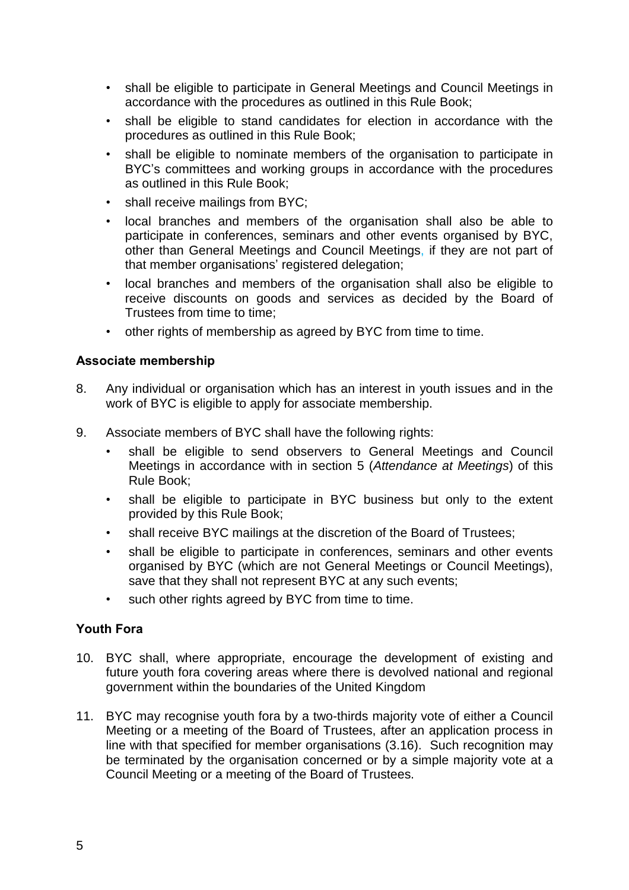- shall be eligible to participate in General Meetings and Council Meetings in accordance with the procedures as outlined in this Rule Book;
- shall be eligible to stand candidates for election in accordance with the procedures as outlined in this Rule Book;
- shall be eligible to nominate members of the organisation to participate in BYC's committees and working groups in accordance with the procedures as outlined in this Rule Book;
- shall receive mailings from BYC;
- local branches and members of the organisation shall also be able to participate in conferences, seminars and other events organised by BYC, other than General Meetings and Council Meetings, if they are not part of that member organisations' registered delegation;
- local branches and members of the organisation shall also be eligible to receive discounts on goods and services as decided by the Board of Trustees from time to time;
- other rights of membership as agreed by BYC from time to time.

### **Associate membership**

- 8. Any individual or organisation which has an interest in youth issues and in the work of BYC is eligible to apply for associate membership.
- 9. Associate members of BYC shall have the following rights:
	- shall be eligible to send observers to General Meetings and Council Meetings in accordance with in section 5 (*Attendance at Meetings*) of this Rule Book;
	- shall be eligible to participate in BYC business but only to the extent provided by this Rule Book;
	- shall receive BYC mailings at the discretion of the Board of Trustees;
	- shall be eligible to participate in conferences, seminars and other events organised by BYC (which are not General Meetings or Council Meetings), save that they shall not represent BYC at any such events;
	- such other rights agreed by BYC from time to time.

### **Youth Fora**

- 10. BYC shall, where appropriate, encourage the development of existing and future youth fora covering areas where there is devolved national and regional government within the boundaries of the United Kingdom
- 11. BYC may recognise youth fora by a two-thirds majority vote of either a Council Meeting or a meeting of the Board of Trustees, after an application process in line with that specified for member organisations (3.16). Such recognition may be terminated by the organisation concerned or by a simple majority vote at a Council Meeting or a meeting of the Board of Trustees.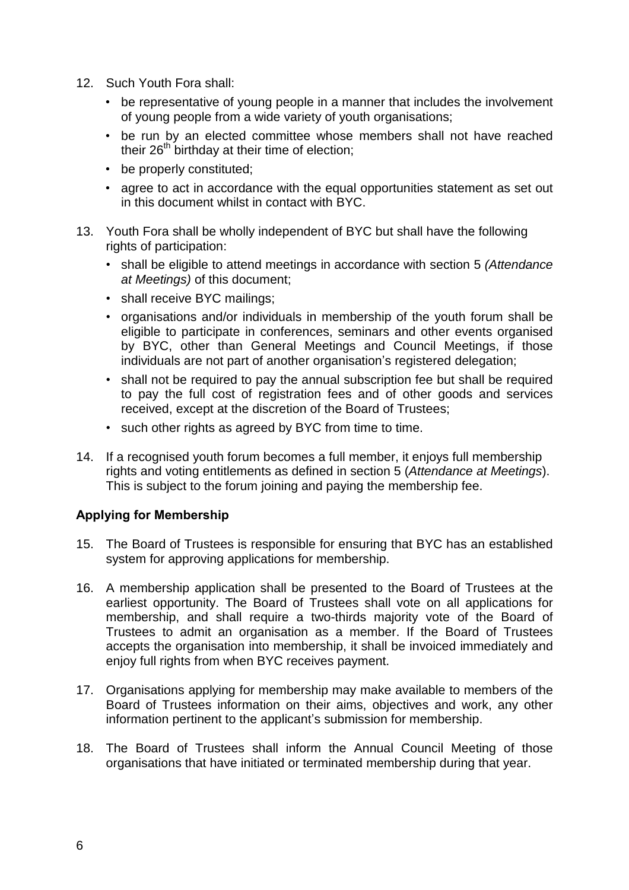- 12. Such Youth Fora shall:
	- be representative of young people in a manner that includes the involvement of young people from a wide variety of youth organisations;
	- be run by an elected committee whose members shall not have reached their  $26<sup>th</sup>$  birthday at their time of election;
	- be properly constituted;
	- agree to act in accordance with the equal opportunities statement as set out in this document whilst in contact with BYC.
- 13. Youth Fora shall be wholly independent of BYC but shall have the following rights of participation:
	- shall be eligible to attend meetings in accordance with section 5 *(Attendance at Meetings)* of this document;
	- shall receive BYC mailings;
	- organisations and/or individuals in membership of the youth forum shall be eligible to participate in conferences, seminars and other events organised by BYC, other than General Meetings and Council Meetings, if those individuals are not part of another organisation's registered delegation;
	- shall not be required to pay the annual subscription fee but shall be required to pay the full cost of registration fees and of other goods and services received, except at the discretion of the Board of Trustees;
	- such other rights as agreed by BYC from time to time.
- 14. If a recognised youth forum becomes a full member, it enjoys full membership rights and voting entitlements as defined in section 5 (*Attendance at Meetings*). This is subject to the forum joining and paying the membership fee.

### **Applying for Membership**

- 15. The Board of Trustees is responsible for ensuring that BYC has an established system for approving applications for membership.
- 16. A membership application shall be presented to the Board of Trustees at the earliest opportunity. The Board of Trustees shall vote on all applications for membership, and shall require a two-thirds majority vote of the Board of Trustees to admit an organisation as a member. If the Board of Trustees accepts the organisation into membership, it shall be invoiced immediately and enjoy full rights from when BYC receives payment.
- 17. Organisations applying for membership may make available to members of the Board of Trustees information on their aims, objectives and work, any other information pertinent to the applicant's submission for membership.
- 18. The Board of Trustees shall inform the Annual Council Meeting of those organisations that have initiated or terminated membership during that year.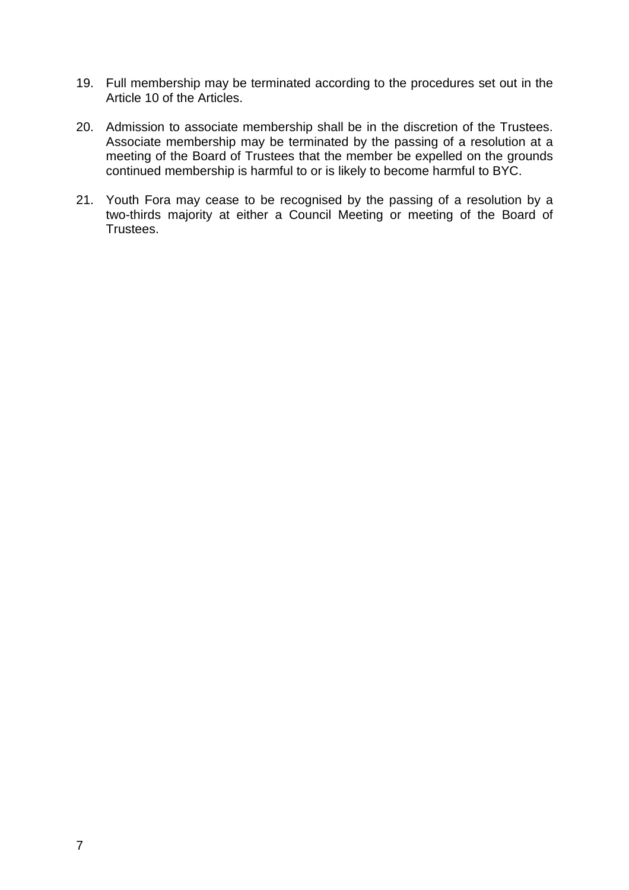- 19. Full membership may be terminated according to the procedures set out in the Article 10 of the Articles.
- 20. Admission to associate membership shall be in the discretion of the Trustees. Associate membership may be terminated by the passing of a resolution at a meeting of the Board of Trustees that the member be expelled on the grounds continued membership is harmful to or is likely to become harmful to BYC.
- 21. Youth Fora may cease to be recognised by the passing of a resolution by a two-thirds majority at either a Council Meeting or meeting of the Board of Trustees.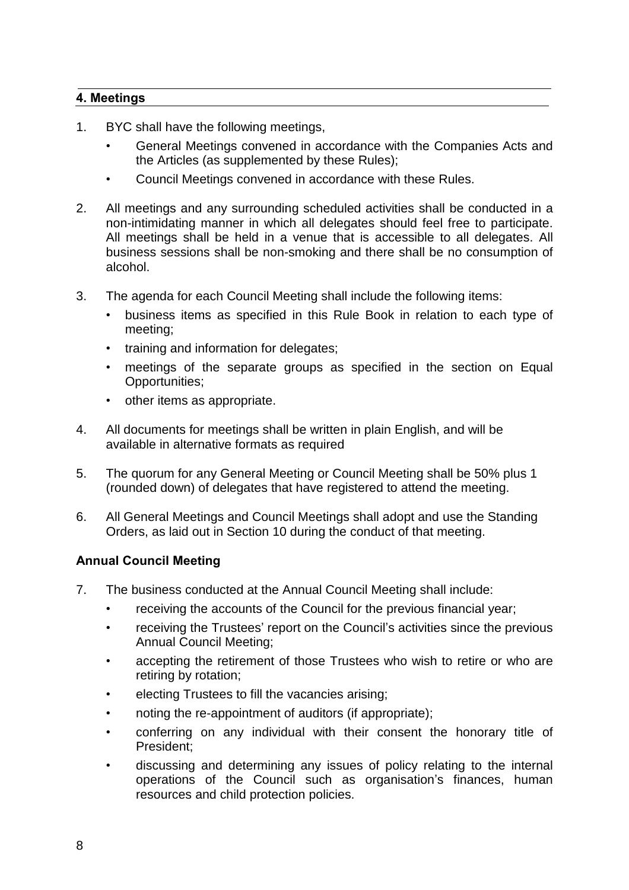## **4. Meetings**

- 1. BYC shall have the following meetings,
	- General Meetings convened in accordance with the Companies Acts and the Articles (as supplemented by these Rules);
	- Council Meetings convened in accordance with these Rules.
- 2. All meetings and any surrounding scheduled activities shall be conducted in a non-intimidating manner in which all delegates should feel free to participate. All meetings shall be held in a venue that is accessible to all delegates. All business sessions shall be non-smoking and there shall be no consumption of alcohol.
- 3. The agenda for each Council Meeting shall include the following items:
	- business items as specified in this Rule Book in relation to each type of meeting;
	- training and information for delegates;
	- meetings of the separate groups as specified in the section on Equal Opportunities;
	- other items as appropriate.
- 4. All documents for meetings shall be written in plain English, and will be available in alternative formats as required
- 5. The quorum for any General Meeting or Council Meeting shall be 50% plus 1 (rounded down) of delegates that have registered to attend the meeting.
- 6. All General Meetings and Council Meetings shall adopt and use the Standing Orders, as laid out in Section 10 during the conduct of that meeting.

### **Annual Council Meeting**

- 7. The business conducted at the Annual Council Meeting shall include:
	- receiving the accounts of the Council for the previous financial year;
	- receiving the Trustees' report on the Council's activities since the previous Annual Council Meeting;
	- accepting the retirement of those Trustees who wish to retire or who are retiring by rotation;
	- electing Trustees to fill the vacancies arising;
	- noting the re-appointment of auditors (if appropriate);
	- conferring on any individual with their consent the honorary title of President;
	- discussing and determining any issues of policy relating to the internal operations of the Council such as organisation's finances, human resources and child protection policies.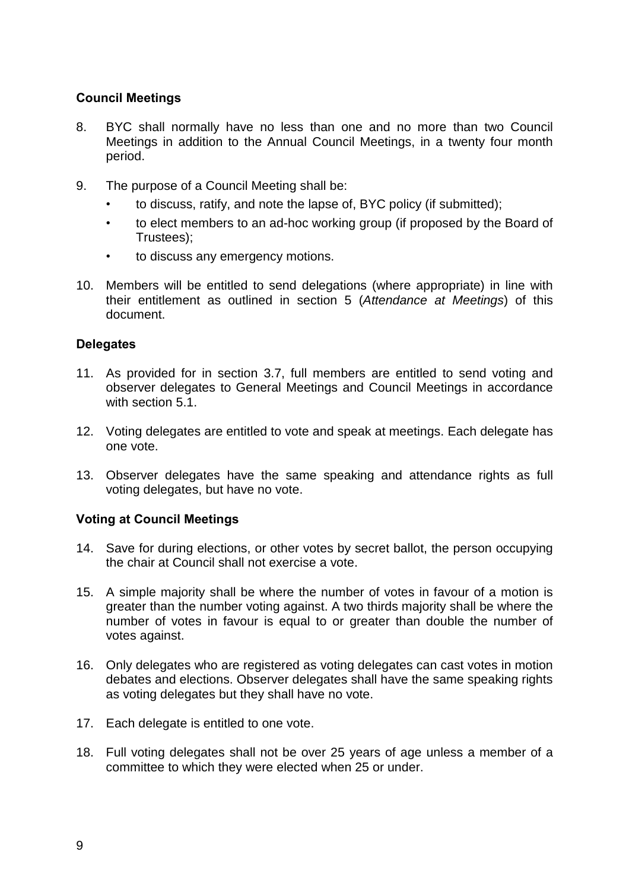## **Council Meetings**

- 8. BYC shall normally have no less than one and no more than two Council Meetings in addition to the Annual Council Meetings, in a twenty four month period.
- 9. The purpose of a Council Meeting shall be:
	- to discuss, ratify, and note the lapse of, BYC policy (if submitted);
	- to elect members to an ad-hoc working group (if proposed by the Board of Trustees);
	- to discuss any emergency motions.
- 10. Members will be entitled to send delegations (where appropriate) in line with their entitlement as outlined in section 5 (*Attendance at Meetings*) of this document.

## **Delegates**

- 11. As provided for in section 3.7, full members are entitled to send voting and observer delegates to General Meetings and Council Meetings in accordance with section 5.1.
- 12. Voting delegates are entitled to vote and speak at meetings. Each delegate has one vote.
- 13. Observer delegates have the same speaking and attendance rights as full voting delegates, but have no vote.

### **Voting at Council Meetings**

- 14. Save for during elections, or other votes by secret ballot, the person occupying the chair at Council shall not exercise a vote.
- 15. A simple majority shall be where the number of votes in favour of a motion is greater than the number voting against. A two thirds majority shall be where the number of votes in favour is equal to or greater than double the number of votes against.
- 16. Only delegates who are registered as voting delegates can cast votes in motion debates and elections. Observer delegates shall have the same speaking rights as voting delegates but they shall have no vote.
- 17. Each delegate is entitled to one vote.
- 18. Full voting delegates shall not be over 25 years of age unless a member of a committee to which they were elected when 25 or under.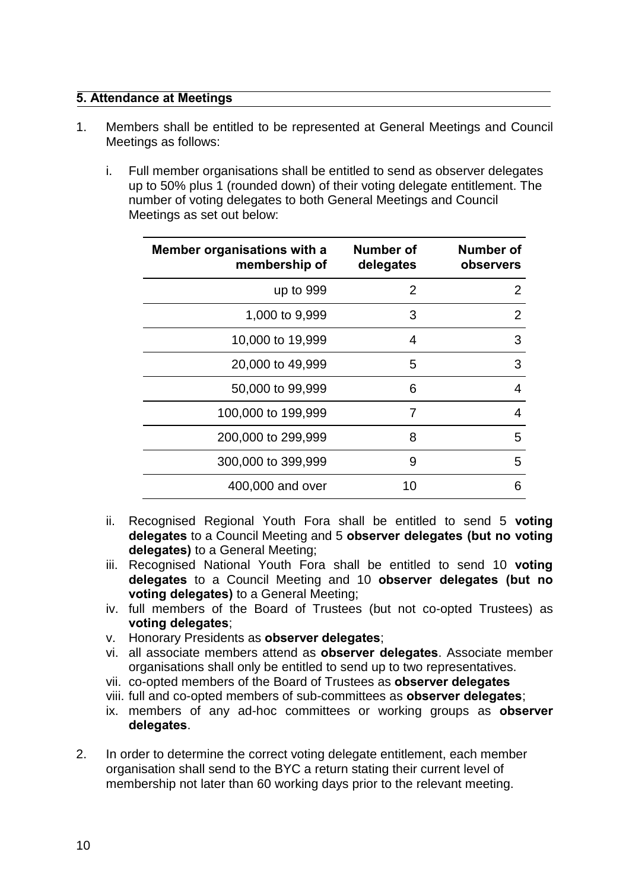### **5. Attendance at Meetings**

- 1. Members shall be entitled to be represented at General Meetings and Council Meetings as follows:
	- i. Full member organisations shall be entitled to send as observer delegates up to 50% plus 1 (rounded down) of their voting delegate entitlement. The number of voting delegates to both General Meetings and Council Meetings as set out below:

| Member organisations with a<br>membership of | Number of<br>delegates | Number of<br>observers |
|----------------------------------------------|------------------------|------------------------|
| up to 999                                    | 2                      | 2                      |
| 1,000 to 9,999                               | 3                      | 2                      |
| 10,000 to 19,999                             | 4                      | 3                      |
| 20,000 to 49,999                             | 5                      | 3                      |
| 50,000 to 99,999                             | 6                      | 4                      |
| 100,000 to 199,999                           | 7                      | 4                      |
| 200,000 to 299,999                           | 8                      | 5                      |
| 300,000 to 399,999                           | 9                      | 5                      |
| 400,000 and over                             | 10                     | 6                      |

- ii. Recognised Regional Youth Fora shall be entitled to send 5 **voting delegates** to a Council Meeting and 5 **observer delegates (but no voting delegates)** to a General Meeting;
- iii. Recognised National Youth Fora shall be entitled to send 10 **voting delegates** to a Council Meeting and 10 **observer delegates (but no voting delegates)** to a General Meeting;
- iv. full members of the Board of Trustees (but not co-opted Trustees) as **voting delegates**;
- v. Honorary Presidents as **observer delegates**;
- vi. all associate members attend as **observer delegates**. Associate member organisations shall only be entitled to send up to two representatives.
- vii. co-opted members of the Board of Trustees as **observer delegates**
- viii. full and co-opted members of sub-committees as **observer delegates**;
- ix. members of any ad-hoc committees or working groups as **observer delegates**.
- 2. In order to determine the correct voting delegate entitlement, each member organisation shall send to the BYC a return stating their current level of membership not later than 60 working days prior to the relevant meeting.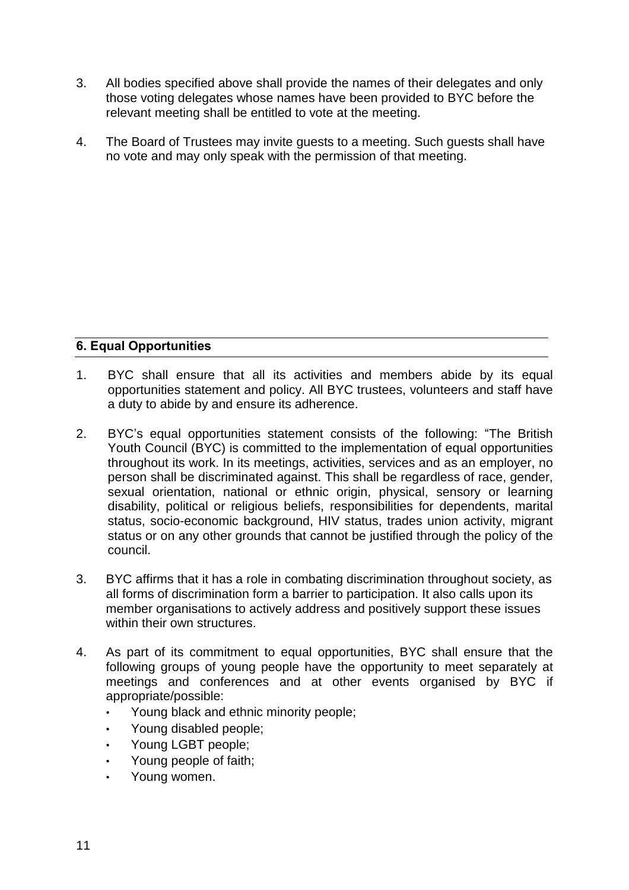- 3. All bodies specified above shall provide the names of their delegates and only those voting delegates whose names have been provided to BYC before the relevant meeting shall be entitled to vote at the meeting.
- 4. The Board of Trustees may invite guests to a meeting. Such guests shall have no vote and may only speak with the permission of that meeting.

# **6. Equal Opportunities**

- 1. BYC shall ensure that all its activities and members abide by its equal opportunities statement and policy. All BYC trustees, volunteers and staff have a duty to abide by and ensure its adherence.
- 2. BYC's equal opportunities statement consists of the following: "The British Youth Council (BYC) is committed to the implementation of equal opportunities throughout its work. In its meetings, activities, services and as an employer, no person shall be discriminated against. This shall be regardless of race, gender, sexual orientation, national or ethnic origin, physical, sensory or learning disability, political or religious beliefs, responsibilities for dependents, marital status, socio-economic background, HIV status, trades union activity, migrant status or on any other grounds that cannot be justified through the policy of the council.
- 3. BYC affirms that it has a role in combating discrimination throughout society, as all forms of discrimination form a barrier to participation. It also calls upon its member organisations to actively address and positively support these issues within their own structures.
- 4. As part of its commitment to equal opportunities, BYC shall ensure that the following groups of young people have the opportunity to meet separately at meetings and conferences and at other events organised by BYC if appropriate/possible:
	- Young black and ethnic minority people;
	- Young disabled people;
	- Young LGBT people;
	- Young people of faith;
	- Young women.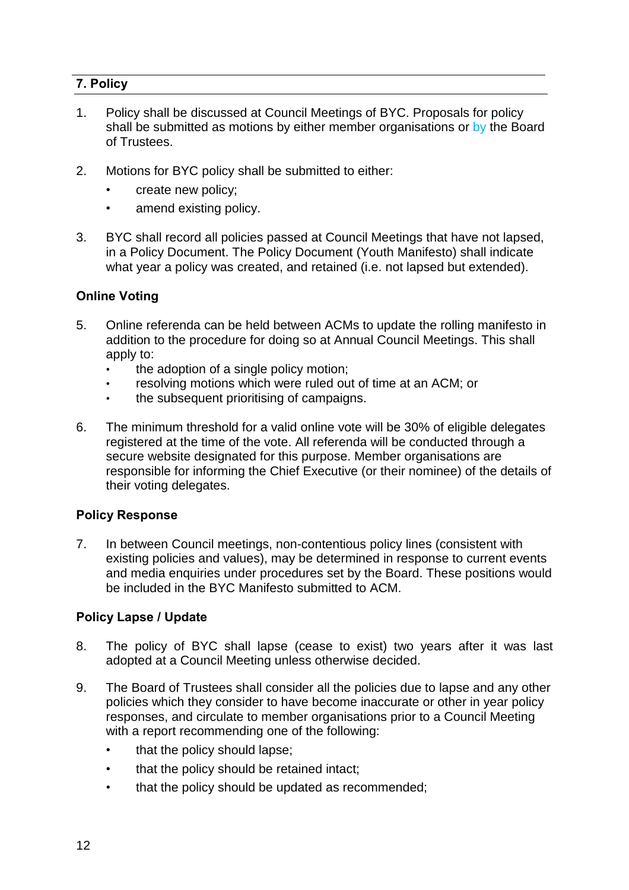# **7. Policy**

- 1. Policy shall be discussed at Council Meetings of BYC. Proposals for policy shall be submitted as motions by either member organisations or by the Board of Trustees.
- 2. Motions for BYC policy shall be submitted to either:
	- create new policy;
	- amend existing policy.
- 3. BYC shall record all policies passed at Council Meetings that have not lapsed, in a Policy Document. The Policy Document (Youth Manifesto) shall indicate what year a policy was created, and retained (i.e. not lapsed but extended).

## **Online Voting**

- 5. Online referenda can be held between ACMs to update the rolling manifesto in addition to the procedure for doing so at Annual Council Meetings. This shall apply to:
	- the adoption of a single policy motion;
	- resolving motions which were ruled out of time at an ACM; or
	- the subsequent prioritising of campaigns.
- 6. The minimum threshold for a valid online vote will be 30% of eligible delegates registered at the time of the vote. All referenda will be conducted through a secure website designated for this purpose. Member organisations are responsible for informing the Chief Executive (or their nominee) of the details of their voting delegates.

## **Policy Response**

7. In between Council meetings, non-contentious policy lines (consistent with existing policies and values), may be determined in response to current events and media enquiries under procedures set by the Board. These positions would be included in the BYC Manifesto submitted to ACM.

### **Policy Lapse / Update**

- 8. The policy of BYC shall lapse (cease to exist) two years after it was last adopted at a Council Meeting unless otherwise decided.
- 9. The Board of Trustees shall consider all the policies due to lapse and any other policies which they consider to have become inaccurate or other in year policy responses, and circulate to member organisations prior to a Council Meeting with a report recommending one of the following:
	- that the policy should lapse;
	- that the policy should be retained intact;
	- that the policy should be updated as recommended;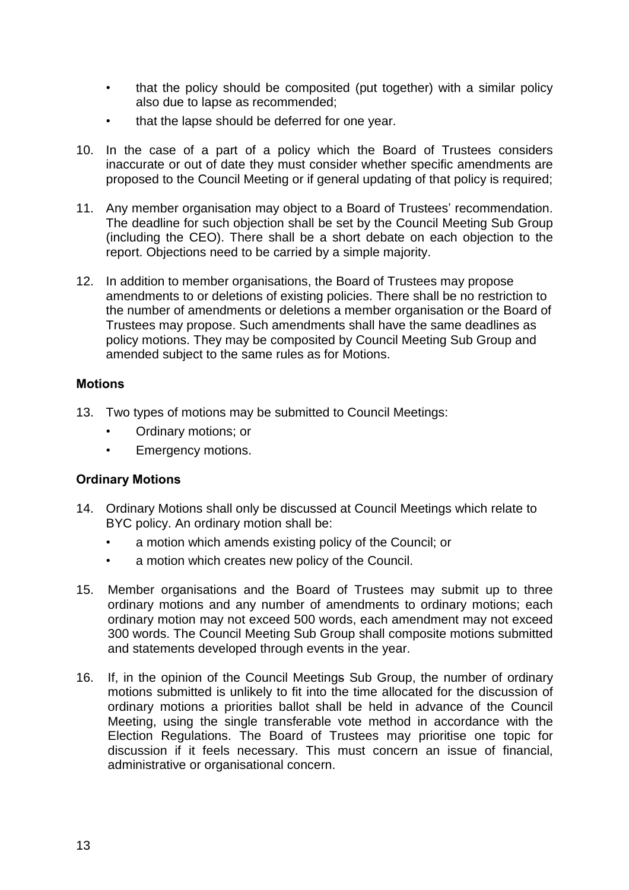- that the policy should be composited (put together) with a similar policy also due to lapse as recommended;
- that the lapse should be deferred for one year.
- 10. In the case of a part of a policy which the Board of Trustees considers inaccurate or out of date they must consider whether specific amendments are proposed to the Council Meeting or if general updating of that policy is required;
- 11. Any member organisation may object to a Board of Trustees' recommendation. The deadline for such objection shall be set by the Council Meeting Sub Group (including the CEO). There shall be a short debate on each objection to the report. Objections need to be carried by a simple majority.
- 12. In addition to member organisations, the Board of Trustees may propose amendments to or deletions of existing policies. There shall be no restriction to the number of amendments or deletions a member organisation or the Board of Trustees may propose. Such amendments shall have the same deadlines as policy motions. They may be composited by Council Meeting Sub Group and amended subject to the same rules as for Motions.

### **Motions**

- 13. Two types of motions may be submitted to Council Meetings:
	- Ordinary motions; or
	- Emergency motions.

### **Ordinary Motions**

- 14. Ordinary Motions shall only be discussed at Council Meetings which relate to BYC policy. An ordinary motion shall be:
	- a motion which amends existing policy of the Council; or
	- a motion which creates new policy of the Council.
- 15. Member organisations and the Board of Trustees may submit up to three ordinary motions and any number of amendments to ordinary motions; each ordinary motion may not exceed 500 words, each amendment may not exceed 300 words. The Council Meeting Sub Group shall composite motions submitted and statements developed through events in the year.
- 16. If, in the opinion of the Council Meetings Sub Group, the number of ordinary motions submitted is unlikely to fit into the time allocated for the discussion of ordinary motions a priorities ballot shall be held in advance of the Council Meeting, using the single transferable vote method in accordance with the Election Regulations. The Board of Trustees may prioritise one topic for discussion if it feels necessary. This must concern an issue of financial, administrative or organisational concern.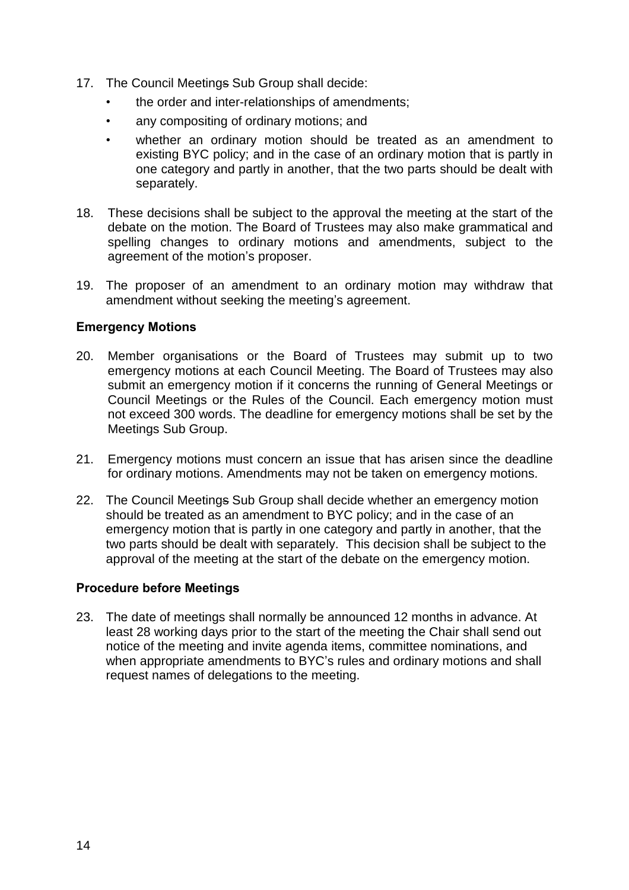- 17. The Council Meetings Sub Group shall decide:
	- the order and inter-relationships of amendments;
	- any compositing of ordinary motions; and
	- whether an ordinary motion should be treated as an amendment to existing BYC policy; and in the case of an ordinary motion that is partly in one category and partly in another, that the two parts should be dealt with separately.
- 18. These decisions shall be subject to the approval the meeting at the start of the debate on the motion. The Board of Trustees may also make grammatical and spelling changes to ordinary motions and amendments, subject to the agreement of the motion's proposer.
- 19. The proposer of an amendment to an ordinary motion may withdraw that amendment without seeking the meeting's agreement.

## **Emergency Motions**

- 20. Member organisations or the Board of Trustees may submit up to two emergency motions at each Council Meeting. The Board of Trustees may also submit an emergency motion if it concerns the running of General Meetings or Council Meetings or the Rules of the Council. Each emergency motion must not exceed 300 words. The deadline for emergency motions shall be set by the Meetings Sub Group.
- 21. Emergency motions must concern an issue that has arisen since the deadline for ordinary motions. Amendments may not be taken on emergency motions.
- 22. The Council Meetings Sub Group shall decide whether an emergency motion should be treated as an amendment to BYC policy; and in the case of an emergency motion that is partly in one category and partly in another, that the two parts should be dealt with separately. This decision shall be subject to the approval of the meeting at the start of the debate on the emergency motion.

### **Procedure before Meetings**

23. The date of meetings shall normally be announced 12 months in advance. At least 28 working days prior to the start of the meeting the Chair shall send out notice of the meeting and invite agenda items, committee nominations, and when appropriate amendments to BYC's rules and ordinary motions and shall request names of delegations to the meeting.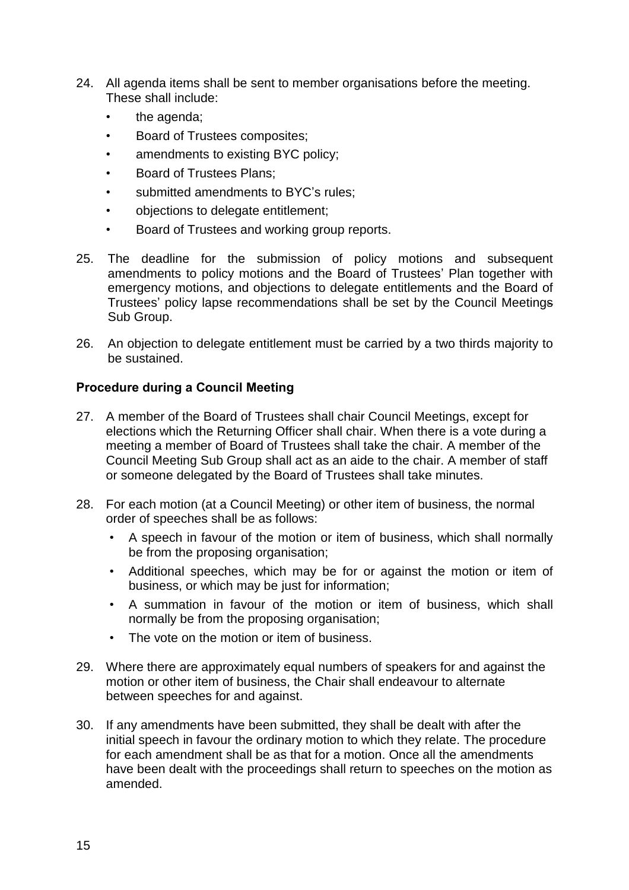- 24. All agenda items shall be sent to member organisations before the meeting. These shall include:
	- the agenda;
	- Board of Trustees composites;
	- amendments to existing BYC policy;
	- Board of Trustees Plans;
	- submitted amendments to BYC's rules:
	- objections to delegate entitlement;
	- Board of Trustees and working group reports.
- 25. The deadline for the submission of policy motions and subsequent amendments to policy motions and the Board of Trustees' Plan together with emergency motions, and objections to delegate entitlements and the Board of Trustees' policy lapse recommendations shall be set by the Council Meetings Sub Group.
- 26. An objection to delegate entitlement must be carried by a two thirds majority to be sustained.

## **Procedure during a Council Meeting**

- 27. A member of the Board of Trustees shall chair Council Meetings, except for elections which the Returning Officer shall chair. When there is a vote during a meeting a member of Board of Trustees shall take the chair. A member of the Council Meeting Sub Group shall act as an aide to the chair. A member of staff or someone delegated by the Board of Trustees shall take minutes.
- 28. For each motion (at a Council Meeting) or other item of business, the normal order of speeches shall be as follows:
	- A speech in favour of the motion or item of business, which shall normally be from the proposing organisation;
	- Additional speeches, which may be for or against the motion or item of business, or which may be just for information;
	- A summation in favour of the motion or item of business, which shall normally be from the proposing organisation;
	- The vote on the motion or item of business.
- 29. Where there are approximately equal numbers of speakers for and against the motion or other item of business, the Chair shall endeavour to alternate between speeches for and against.
- 30. If any amendments have been submitted, they shall be dealt with after the initial speech in favour the ordinary motion to which they relate. The procedure for each amendment shall be as that for a motion. Once all the amendments have been dealt with the proceedings shall return to speeches on the motion as amended.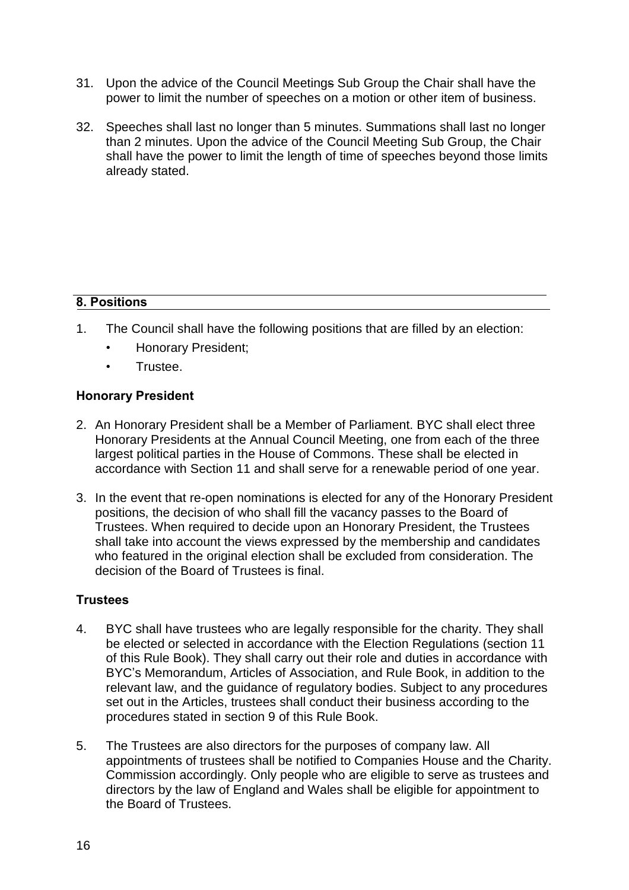- 31. Upon the advice of the Council Meetings Sub Group the Chair shall have the power to limit the number of speeches on a motion or other item of business.
- 32. Speeches shall last no longer than 5 minutes. Summations shall last no longer than 2 minutes. Upon the advice of the Council Meeting Sub Group, the Chair shall have the power to limit the length of time of speeches beyond those limits already stated.

# **8. Positions**

- 1. The Council shall have the following positions that are filled by an election:
	- Honorary President;
	- Trustee.

### **Honorary President**

- 2. An Honorary President shall be a Member of Parliament. BYC shall elect three Honorary Presidents at the Annual Council Meeting, one from each of the three largest political parties in the House of Commons. These shall be elected in accordance with Section 11 and shall serve for a renewable period of one year.
- 3. In the event that re-open nominations is elected for any of the Honorary President positions, the decision of who shall fill the vacancy passes to the Board of Trustees. When required to decide upon an Honorary President, the Trustees shall take into account the views expressed by the membership and candidates who featured in the original election shall be excluded from consideration. The decision of the Board of Trustees is final.

## **Trustees**

- 4. BYC shall have trustees who are legally responsible for the charity. They shall be elected or selected in accordance with the Election Regulations (section 11 of this Rule Book). They shall carry out their role and duties in accordance with BYC's Memorandum, Articles of Association, and Rule Book, in addition to the relevant law, and the guidance of regulatory bodies. Subject to any procedures set out in the Articles, trustees shall conduct their business according to the procedures stated in section 9 of this Rule Book.
- 5. The Trustees are also directors for the purposes of company law. All appointments of trustees shall be notified to Companies House and the Charity. Commission accordingly. Only people who are eligible to serve as trustees and directors by the law of England and Wales shall be eligible for appointment to the Board of Trustees.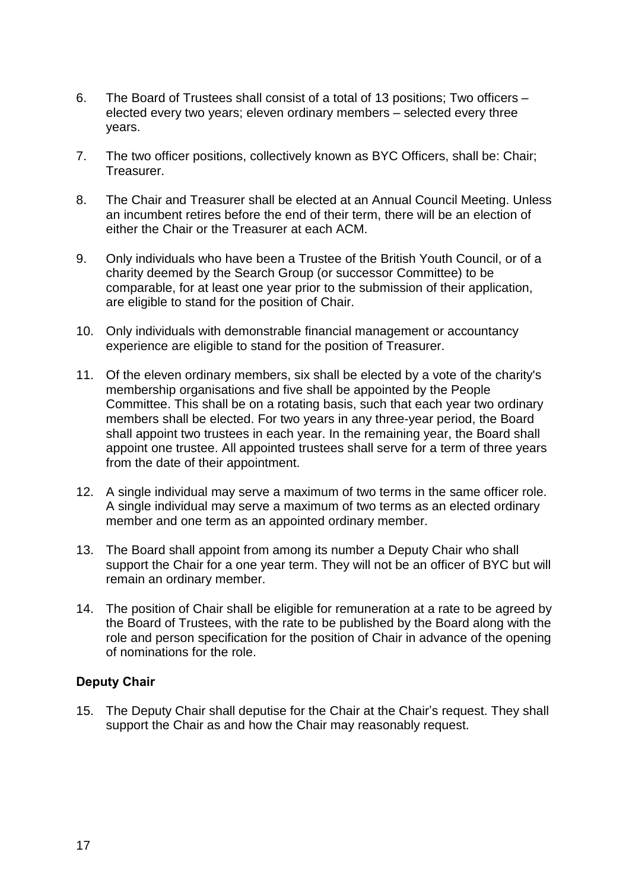- 6. The Board of Trustees shall consist of a total of 13 positions; Two officers elected every two years; eleven ordinary members – selected every three years.
- 7. The two officer positions, collectively known as BYC Officers, shall be: Chair; Treasurer.
- 8. The Chair and Treasurer shall be elected at an Annual Council Meeting. Unless an incumbent retires before the end of their term, there will be an election of either the Chair or the Treasurer at each ACM.
- 9. Only individuals who have been a Trustee of the British Youth Council, or of a charity deemed by the Search Group (or successor Committee) to be comparable, for at least one year prior to the submission of their application, are eligible to stand for the position of Chair.
- 10. Only individuals with demonstrable financial management or accountancy experience are eligible to stand for the position of Treasurer.
- 11. Of the eleven ordinary members, six shall be elected by a vote of the charity's membership organisations and five shall be appointed by the People Committee. This shall be on a rotating basis, such that each year two ordinary members shall be elected. For two years in any three-year period, the Board shall appoint two trustees in each year. In the remaining year, the Board shall appoint one trustee. All appointed trustees shall serve for a term of three years from the date of their appointment.
- 12. A single individual may serve a maximum of two terms in the same officer role. A single individual may serve a maximum of two terms as an elected ordinary member and one term as an appointed ordinary member.
- 13. The Board shall appoint from among its number a Deputy Chair who shall support the Chair for a one year term. They will not be an officer of BYC but will remain an ordinary member.
- 14. The position of Chair shall be eligible for remuneration at a rate to be agreed by the Board of Trustees, with the rate to be published by the Board along with the role and person specification for the position of Chair in advance of the opening of nominations for the role.

### **Deputy Chair**

15. The Deputy Chair shall deputise for the Chair at the Chair's request. They shall support the Chair as and how the Chair may reasonably request.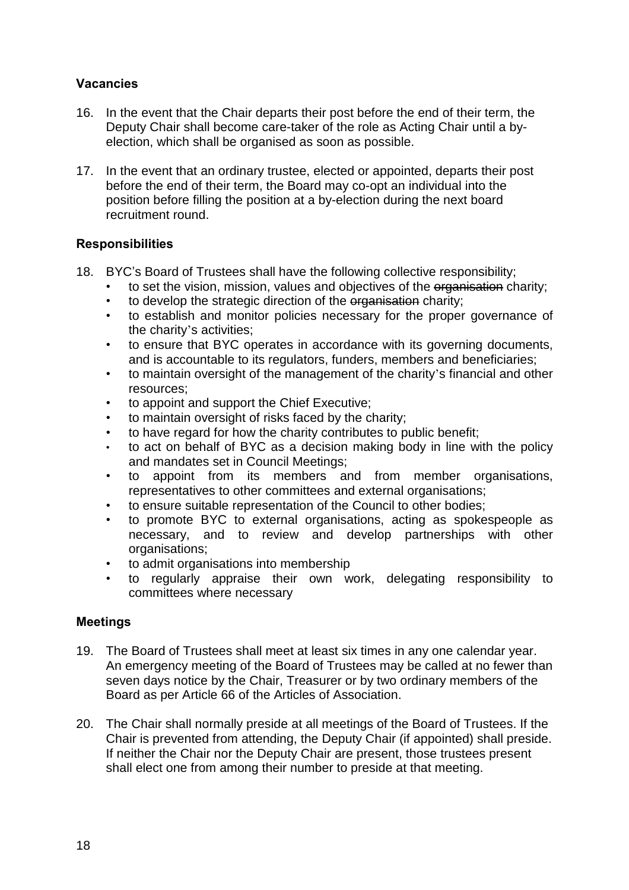## **Vacancies**

- 16. In the event that the Chair departs their post before the end of their term, the Deputy Chair shall become care-taker of the role as Acting Chair until a byelection, which shall be organised as soon as possible.
- 17. In the event that an ordinary trustee, elected or appointed, departs their post before the end of their term, the Board may co-opt an individual into the position before filling the position at a by-election during the next board recruitment round.

## **Responsibilities**

- 18. BYC's Board of Trustees shall have the following collective responsibility;
	- to set the vision, mission, values and objectives of the organisation charity;
	- to develop the strategic direction of the organisation charity;
	- to establish and monitor policies necessary for the proper governance of the charity's activities;
	- to ensure that BYC operates in accordance with its governing documents, and is accountable to its regulators, funders, members and beneficiaries;
	- to maintain oversight of the management of the charity's financial and other resources;
	- to appoint and support the Chief Executive;
	- to maintain oversight of risks faced by the charity;
	- to have regard for how the charity contributes to public benefit:
	- to act on behalf of BYC as a decision making body in line with the policy and mandates set in Council Meetings;
	- to appoint from its members and from member organisations, representatives to other committees and external organisations;
	- to ensure suitable representation of the Council to other bodies;
	- to promote BYC to external organisations, acting as spokespeople as necessary, and to review and develop partnerships with other organisations;
	- to admit organisations into membership
	- to regularly appraise their own work, delegating responsibility to committees where necessary

## **Meetings**

- 19. The Board of Trustees shall meet at least six times in any one calendar year. An emergency meeting of the Board of Trustees may be called at no fewer than seven days notice by the Chair, Treasurer or by two ordinary members of the Board as per Article 66 of the Articles of Association.
- 20. The Chair shall normally preside at all meetings of the Board of Trustees. If the Chair is prevented from attending, the Deputy Chair (if appointed) shall preside. If neither the Chair nor the Deputy Chair are present, those trustees present shall elect one from among their number to preside at that meeting.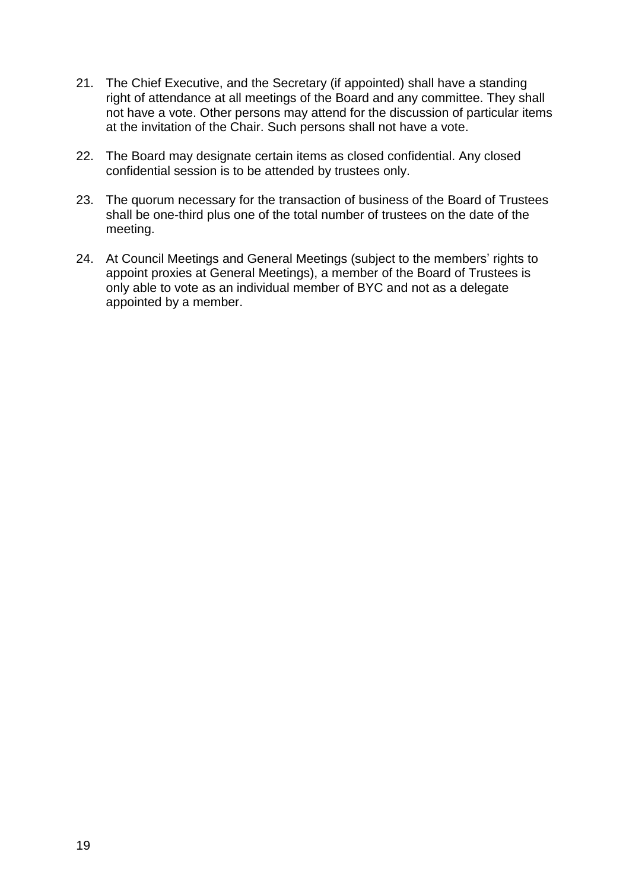- 21. The Chief Executive, and the Secretary (if appointed) shall have a standing right of attendance at all meetings of the Board and any committee. They shall not have a vote. Other persons may attend for the discussion of particular items at the invitation of the Chair. Such persons shall not have a vote.
- 22. The Board may designate certain items as closed confidential. Any closed confidential session is to be attended by trustees only.
- 23. The quorum necessary for the transaction of business of the Board of Trustees shall be one-third plus one of the total number of trustees on the date of the meeting.
- 24. At Council Meetings and General Meetings (subject to the members' rights to appoint proxies at General Meetings), a member of the Board of Trustees is only able to vote as an individual member of BYC and not as a delegate appointed by a member.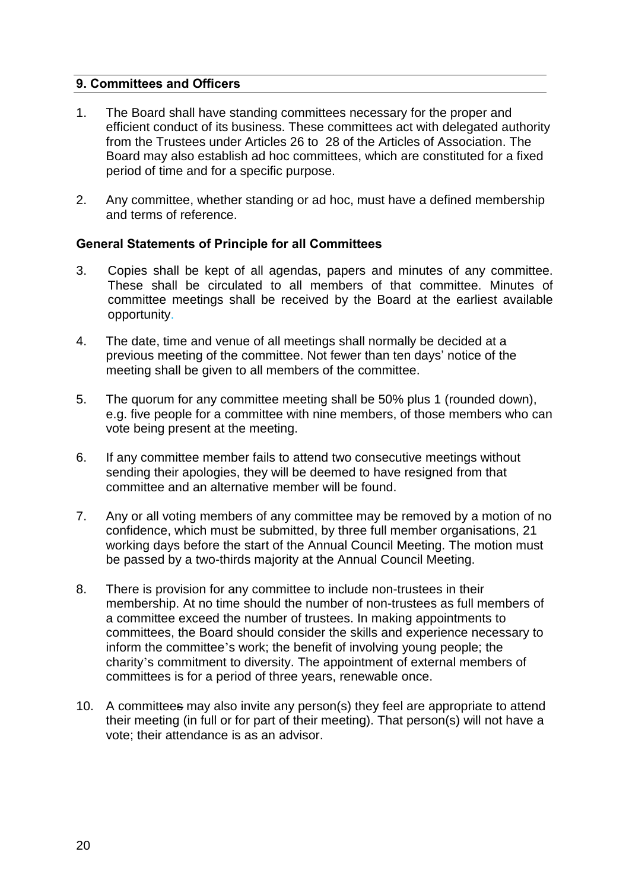## **9. Committees and Officers**

- 1. The Board shall have standing committees necessary for the proper and efficient conduct of its business. These committees act with delegated authority from the Trustees under Articles 26 to 28 of the Articles of Association. The Board may also establish ad hoc committees, which are constituted for a fixed period of time and for a specific purpose.
- 2. Any committee, whether standing or ad hoc, must have a defined membership and terms of reference.

### **General Statements of Principle for all Committees**

- 3. Copies shall be kept of all agendas, papers and minutes of any committee. These shall be circulated to all members of that committee. Minutes of committee meetings shall be received by the Board at the earliest available opportunity.
- 4. The date, time and venue of all meetings shall normally be decided at a previous meeting of the committee. Not fewer than ten days' notice of the meeting shall be given to all members of the committee.
- 5. The quorum for any committee meeting shall be 50% plus 1 (rounded down), e.g. five people for a committee with nine members, of those members who can vote being present at the meeting.
- 6. If any committee member fails to attend two consecutive meetings without sending their apologies, they will be deemed to have resigned from that committee and an alternative member will be found.
- 7. Any or all voting members of any committee may be removed by a motion of no confidence, which must be submitted, by three full member organisations, 21 working days before the start of the Annual Council Meeting. The motion must be passed by a two-thirds majority at the Annual Council Meeting.
- 8. There is provision for any committee to include non-trustees in their membership. At no time should the number of non-trustees as full members of a committee exceed the number of trustees. In making appointments to committees, the Board should consider the skills and experience necessary to inform the committee's work; the benefit of involving young people; the charity's commitment to diversity. The appointment of external members of committees is for a period of three years, renewable once.
- 10. A committees may also invite any person(s) they feel are appropriate to attend their meeting (in full or for part of their meeting). That person(s) will not have a vote; their attendance is as an advisor.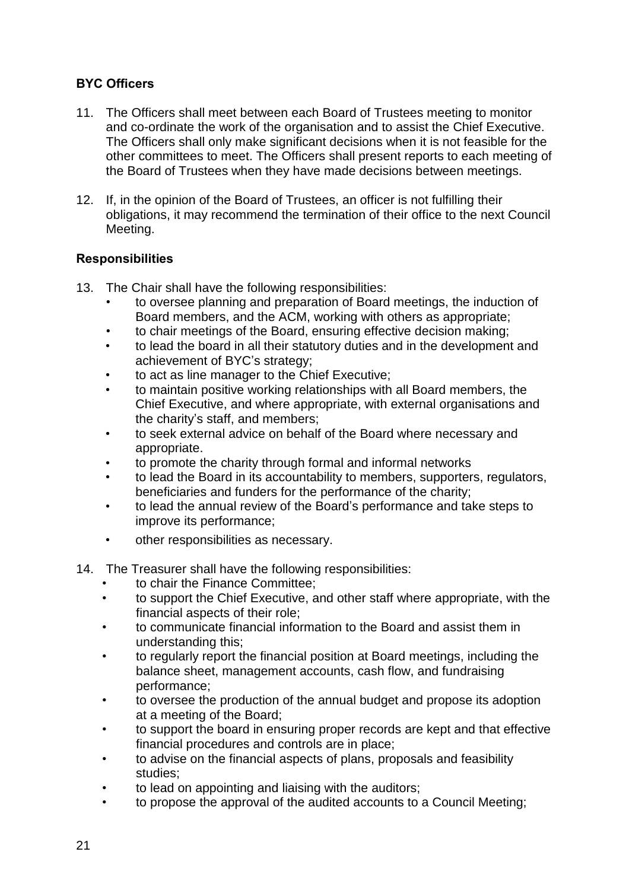# **BYC Officers**

- 11. The Officers shall meet between each Board of Trustees meeting to monitor and co-ordinate the work of the organisation and to assist the Chief Executive. The Officers shall only make significant decisions when it is not feasible for the other committees to meet. The Officers shall present reports to each meeting of the Board of Trustees when they have made decisions between meetings.
- 12. If, in the opinion of the Board of Trustees, an officer is not fulfilling their obligations, it may recommend the termination of their office to the next Council Meeting.

## **Responsibilities**

13. The Chair shall have the following responsibilities:

- to oversee planning and preparation of Board meetings, the induction of Board members, and the ACM, working with others as appropriate;
- to chair meetings of the Board, ensuring effective decision making;
- to lead the board in all their statutory duties and in the development and achievement of BYC's strategy;
- to act as line manager to the Chief Executive;
- to maintain positive working relationships with all Board members, the Chief Executive, and where appropriate, with external organisations and the charity's staff, and members;
- to seek external advice on behalf of the Board where necessary and appropriate.
- to promote the charity through formal and informal networks
- to lead the Board in its accountability to members, supporters, regulators, beneficiaries and funders for the performance of the charity;
- to lead the annual review of the Board's performance and take steps to improve its performance;
- other responsibilities as necessary.
- 14. The Treasurer shall have the following responsibilities:
	- to chair the Finance Committee;
	- to support the Chief Executive, and other staff where appropriate, with the financial aspects of their role;
	- to communicate financial information to the Board and assist them in understanding this;
	- to regularly report the financial position at Board meetings, including the balance sheet, management accounts, cash flow, and fundraising performance;
	- to oversee the production of the annual budget and propose its adoption at a meeting of the Board;
	- to support the board in ensuring proper records are kept and that effective financial procedures and controls are in place;
	- to advise on the financial aspects of plans, proposals and feasibility studies;
	- to lead on appointing and liaising with the auditors;
	- to propose the approval of the audited accounts to a Council Meeting;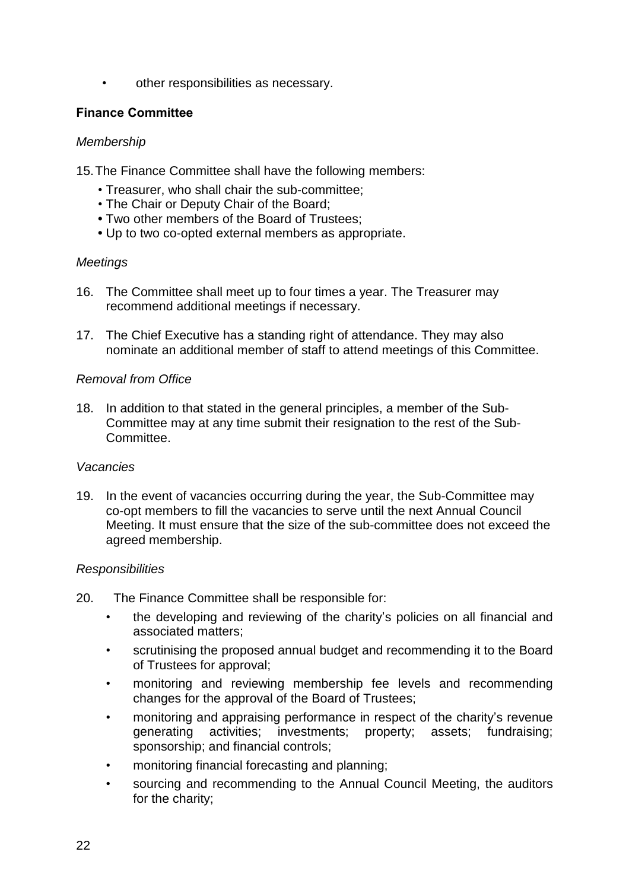• other responsibilities as necessary.

### **Finance Committee**

### *Membership*

15.The Finance Committee shall have the following members:

- Treasurer, who shall chair the sub-committee;
- The Chair or Deputy Chair of the Board;
- **•** Two other members of the Board of Trustees;
- **•** Up to two co-opted external members as appropriate.

### *Meetings*

- 16. The Committee shall meet up to four times a year. The Treasurer may recommend additional meetings if necessary.
- 17. The Chief Executive has a standing right of attendance. They may also nominate an additional member of staff to attend meetings of this Committee.

### *Removal from Office*

18. In addition to that stated in the general principles, a member of the Sub-Committee may at any time submit their resignation to the rest of the Sub-Committee.

### *Vacancies*

19. In the event of vacancies occurring during the year, the Sub-Committee may co-opt members to fill the vacancies to serve until the next Annual Council Meeting. It must ensure that the size of the sub-committee does not exceed the agreed membership.

### *Responsibilities*

- 20. The Finance Committee shall be responsible for:
	- the developing and reviewing of the charity's policies on all financial and associated matters;
	- scrutinising the proposed annual budget and recommending it to the Board of Trustees for approval;
	- monitoring and reviewing membership fee levels and recommending changes for the approval of the Board of Trustees;
	- monitoring and appraising performance in respect of the charity's revenue generating activities; investments; property; assets; fundraising; sponsorship; and financial controls;
	- monitoring financial forecasting and planning;
	- sourcing and recommending to the Annual Council Meeting, the auditors for the charity;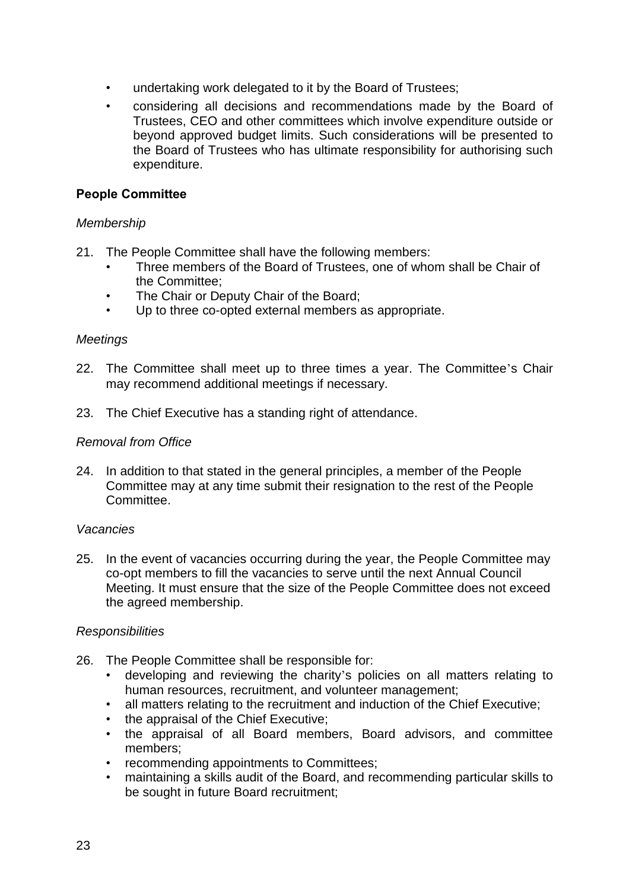- undertaking work delegated to it by the Board of Trustees;
- considering all decisions and recommendations made by the Board of Trustees, CEO and other committees which involve expenditure outside or beyond approved budget limits. Such considerations will be presented to the Board of Trustees who has ultimate responsibility for authorising such expenditure.

## **People Committee**

### *Membership*

- 21. The People Committee shall have the following members:
	- Three members of the Board of Trustees, one of whom shall be Chair of the Committee;
	- The Chair or Deputy Chair of the Board:
	- Up to three co-opted external members as appropriate.

#### *Meetings*

- 22. The Committee shall meet up to three times a year. The Committee's Chair may recommend additional meetings if necessary.
- 23. The Chief Executive has a standing right of attendance.

#### *Removal from Office*

24. In addition to that stated in the general principles, a member of the People Committee may at any time submit their resignation to the rest of the People Committee.

#### *Vacancies*

25. In the event of vacancies occurring during the year, the People Committee may co-opt members to fill the vacancies to serve until the next Annual Council Meeting. It must ensure that the size of the People Committee does not exceed the agreed membership.

### *Responsibilities*

- 26. The People Committee shall be responsible for:
	- developing and reviewing the charity's policies on all matters relating to human resources, recruitment, and volunteer management;
	- all matters relating to the recruitment and induction of the Chief Executive;
	- the appraisal of the Chief Executive;
	- the appraisal of all Board members, Board advisors, and committee members;
	- recommending appointments to Committees;
	- maintaining a skills audit of the Board, and recommending particular skills to be sought in future Board recruitment;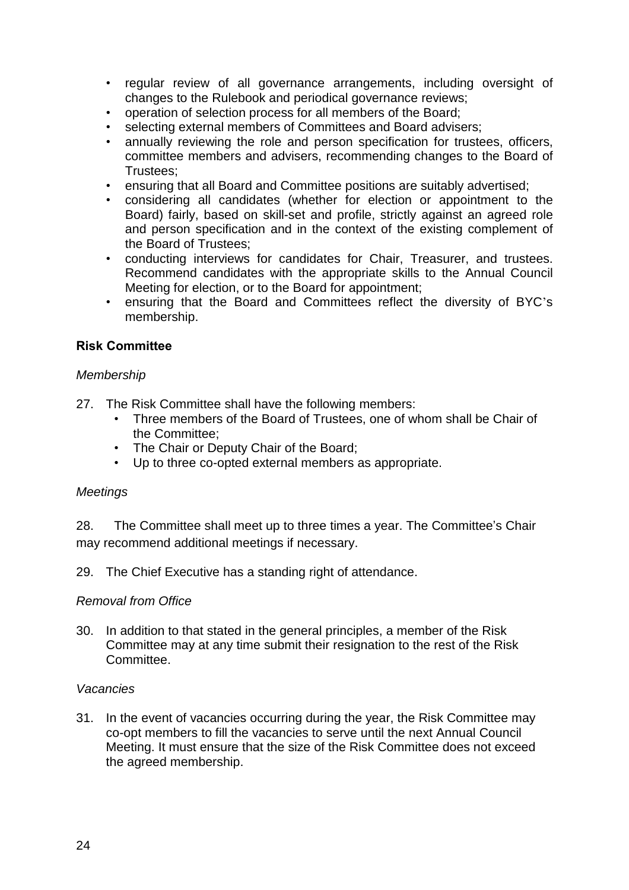- regular review of all governance arrangements, including oversight of changes to the Rulebook and periodical governance reviews;
- operation of selection process for all members of the Board;
- selecting external members of Committees and Board advisers;
- annually reviewing the role and person specification for trustees, officers, committee members and advisers, recommending changes to the Board of Trustees;
- ensuring that all Board and Committee positions are suitably advertised;
- considering all candidates (whether for election or appointment to the Board) fairly, based on skill-set and profile, strictly against an agreed role and person specification and in the context of the existing complement of the Board of Trustees;
- conducting interviews for candidates for Chair, Treasurer, and trustees. Recommend candidates with the appropriate skills to the Annual Council Meeting for election, or to the Board for appointment;
- ensuring that the Board and Committees reflect the diversity of BYC's membership.

### **Risk Committee**

#### *Membership*

27. The Risk Committee shall have the following members:

- Three members of the Board of Trustees, one of whom shall be Chair of the Committee;
- The Chair or Deputy Chair of the Board;
- Up to three co-opted external members as appropriate.

#### *Meetings*

28. The Committee shall meet up to three times a year. The Committee's Chair may recommend additional meetings if necessary.

29. The Chief Executive has a standing right of attendance.

#### *Removal from Office*

30. In addition to that stated in the general principles, a member of the Risk Committee may at any time submit their resignation to the rest of the Risk Committee.

#### *Vacancies*

31. In the event of vacancies occurring during the year, the Risk Committee may co-opt members to fill the vacancies to serve until the next Annual Council Meeting. It must ensure that the size of the Risk Committee does not exceed the agreed membership.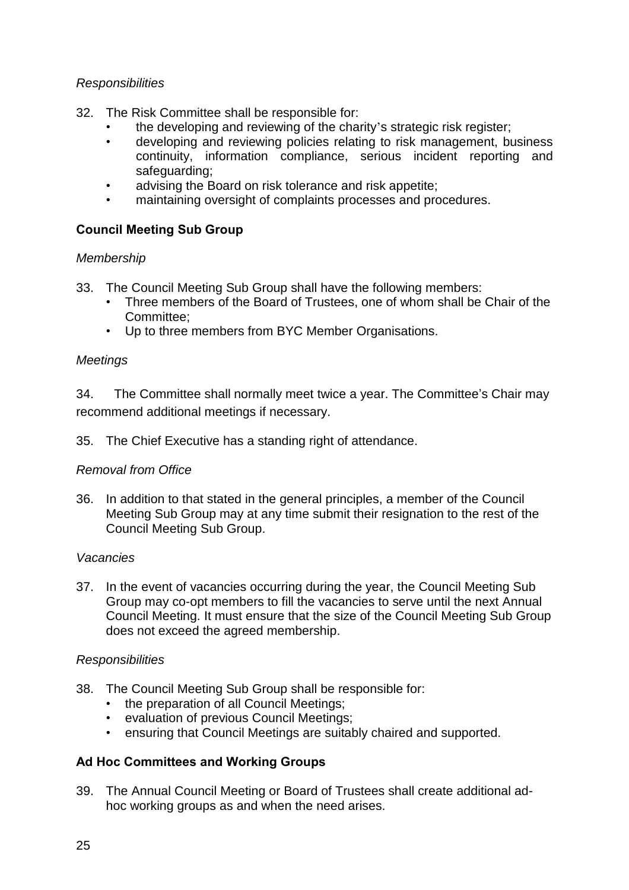### *Responsibilities*

- 32. The Risk Committee shall be responsible for:
	- the developing and reviewing of the charity's strategic risk register;
	- developing and reviewing policies relating to risk management, business continuity, information compliance, serious incident reporting and safeguarding;
	- advising the Board on risk tolerance and risk appetite;
	- maintaining oversight of complaints processes and procedures.

# **Council Meeting Sub Group**

## *Membership*

33. The Council Meeting Sub Group shall have the following members:

- Three members of the Board of Trustees, one of whom shall be Chair of the Committee;
- Up to three members from BYC Member Organisations.

## *Meetings*

34. The Committee shall normally meet twice a year. The Committee's Chair may recommend additional meetings if necessary.

35. The Chief Executive has a standing right of attendance.

## *Removal from Office*

36. In addition to that stated in the general principles, a member of the Council Meeting Sub Group may at any time submit their resignation to the rest of the Council Meeting Sub Group.

### *Vacancies*

37. In the event of vacancies occurring during the year, the Council Meeting Sub Group may co-opt members to fill the vacancies to serve until the next Annual Council Meeting. It must ensure that the size of the Council Meeting Sub Group does not exceed the agreed membership.

### *Responsibilities*

- 38. The Council Meeting Sub Group shall be responsible for:
	- the preparation of all Council Meetings;
	- evaluation of previous Council Meetings;
	- ensuring that Council Meetings are suitably chaired and supported.

### **Ad Hoc Committees and Working Groups**

39. The Annual Council Meeting or Board of Trustees shall create additional adhoc working groups as and when the need arises.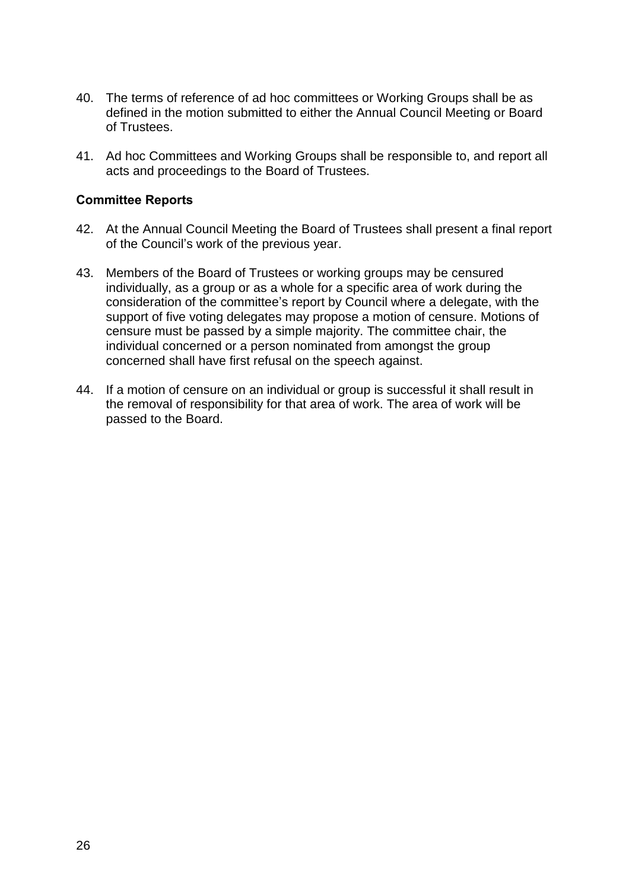- 40. The terms of reference of ad hoc committees or Working Groups shall be as defined in the motion submitted to either the Annual Council Meeting or Board of Trustees.
- 41. Ad hoc Committees and Working Groups shall be responsible to, and report all acts and proceedings to the Board of Trustees.

#### **Committee Reports**

- 42. At the Annual Council Meeting the Board of Trustees shall present a final report of the Council's work of the previous year.
- 43. Members of the Board of Trustees or working groups may be censured individually, as a group or as a whole for a specific area of work during the consideration of the committee's report by Council where a delegate, with the support of five voting delegates may propose a motion of censure. Motions of censure must be passed by a simple majority. The committee chair, the individual concerned or a person nominated from amongst the group concerned shall have first refusal on the speech against.
- 44. If a motion of censure on an individual or group is successful it shall result in the removal of responsibility for that area of work. The area of work will be passed to the Board.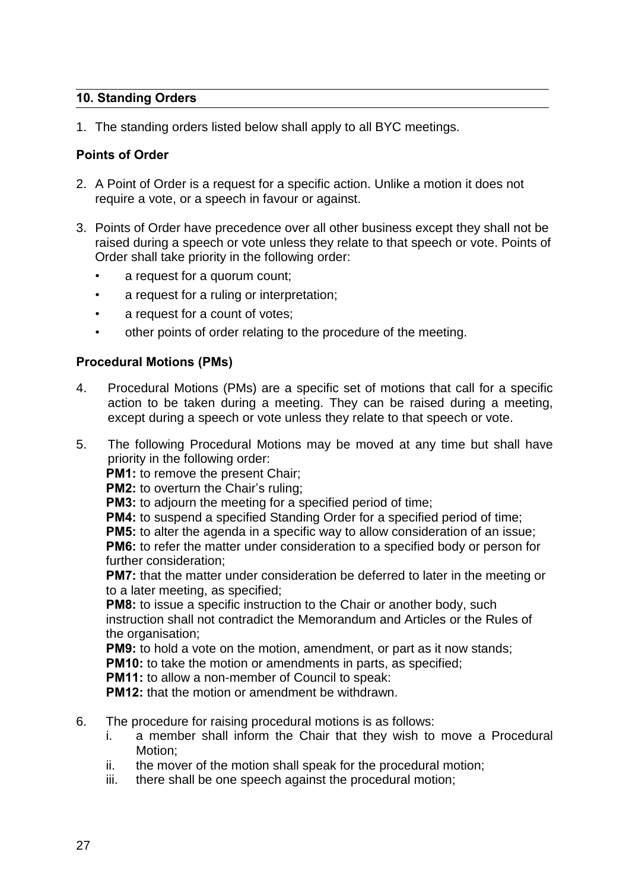## **10. Standing Orders**

1. The standing orders listed below shall apply to all BYC meetings.

## **Points of Order**

- 2. A Point of Order is a request for a specific action. Unlike a motion it does not require a vote, or a speech in favour or against.
- 3. Points of Order have precedence over all other business except they shall not be raised during a speech or vote unless they relate to that speech or vote. Points of Order shall take priority in the following order:
	- a request for a quorum count;
	- a request for a ruling or interpretation;
	- a request for a count of votes;
	- other points of order relating to the procedure of the meeting.

## **Procedural Motions (PMs)**

- 4. Procedural Motions (PMs) are a specific set of motions that call for a specific action to be taken during a meeting. They can be raised during a meeting, except during a speech or vote unless they relate to that speech or vote.
- 5. The following Procedural Motions may be moved at any time but shall have priority in the following order:

**PM1:** to remove the present Chair;

**PM2:** to overturn the Chair's ruling;

**PM3:** to adjourn the meeting for a specified period of time;

**PM4:** to suspend a specified Standing Order for a specified period of time;

**PM5:** to alter the agenda in a specific way to allow consideration of an issue; **PM6:** to refer the matter under consideration to a specified body or person for further consideration;

**PM7:** that the matter under consideration be deferred to later in the meeting or to a later meeting, as specified;

**PM8:** to issue a specific instruction to the Chair or another body, such instruction shall not contradict the Memorandum and Articles or the Rules of the organisation;

**PM9:** to hold a vote on the motion, amendment, or part as it now stands; **PM10:** to take the motion or amendments in parts, as specified;

**PM11:** to allow a non-member of Council to speak:

**PM12:** that the motion or amendment be withdrawn.

- 6. The procedure for raising procedural motions is as follows:
	- i. a member shall inform the Chair that they wish to move a Procedural Motion;
	- ii. the mover of the motion shall speak for the procedural motion;
	- iii. there shall be one speech against the procedural motion;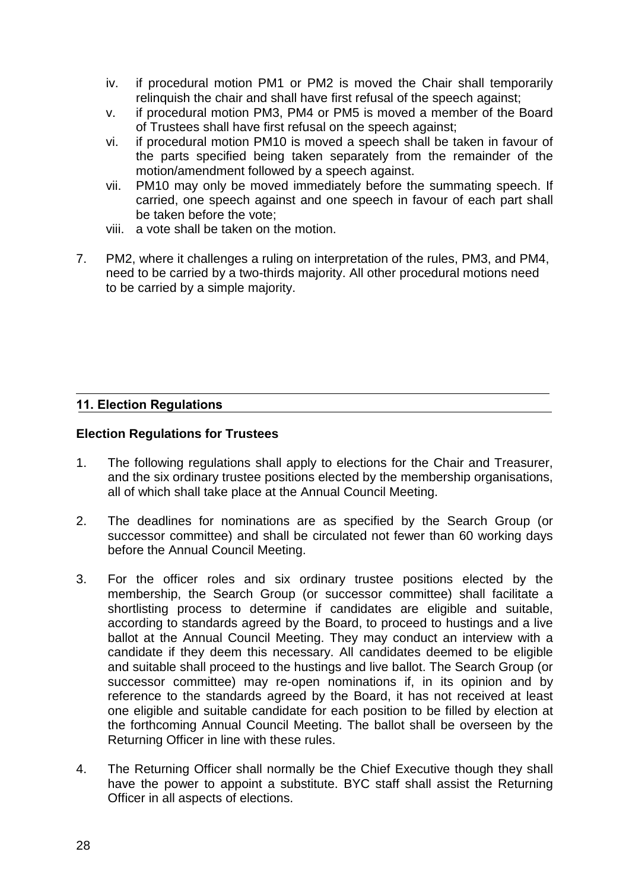- iv. if procedural motion PM1 or PM2 is moved the Chair shall temporarily relinquish the chair and shall have first refusal of the speech against;
- v. if procedural motion PM3, PM4 or PM5 is moved a member of the Board of Trustees shall have first refusal on the speech against;
- vi. if procedural motion PM10 is moved a speech shall be taken in favour of the parts specified being taken separately from the remainder of the motion/amendment followed by a speech against.
- vii. PM10 may only be moved immediately before the summating speech. If carried, one speech against and one speech in favour of each part shall be taken before the vote;
- viii. a vote shall be taken on the motion.
- 7. PM2, where it challenges a ruling on interpretation of the rules, PM3, and PM4, need to be carried by a two-thirds majority. All other procedural motions need to be carried by a simple majority.

## **11. Election Regulations**

### **Election Regulations for Trustees**

- 1. The following regulations shall apply to elections for the Chair and Treasurer, and the six ordinary trustee positions elected by the membership organisations, all of which shall take place at the Annual Council Meeting.
- 2. The deadlines for nominations are as specified by the Search Group (or successor committee) and shall be circulated not fewer than 60 working days before the Annual Council Meeting.
- 3. For the officer roles and six ordinary trustee positions elected by the membership, the Search Group (or successor committee) shall facilitate a shortlisting process to determine if candidates are eligible and suitable, according to standards agreed by the Board, to proceed to hustings and a live ballot at the Annual Council Meeting. They may conduct an interview with a candidate if they deem this necessary. All candidates deemed to be eligible and suitable shall proceed to the hustings and live ballot. The Search Group (or successor committee) may re-open nominations if, in its opinion and by reference to the standards agreed by the Board, it has not received at least one eligible and suitable candidate for each position to be filled by election at the forthcoming Annual Council Meeting. The ballot shall be overseen by the Returning Officer in line with these rules.
- 4. The Returning Officer shall normally be the Chief Executive though they shall have the power to appoint a substitute. BYC staff shall assist the Returning Officer in all aspects of elections.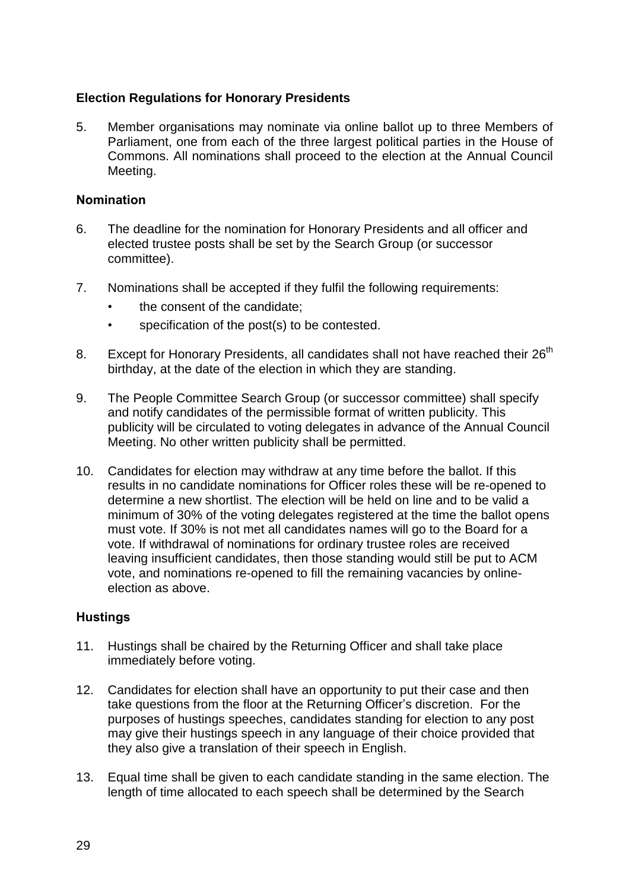## **Election Regulations for Honorary Presidents**

5. Member organisations may nominate via online ballot up to three Members of Parliament, one from each of the three largest political parties in the House of Commons. All nominations shall proceed to the election at the Annual Council Meeting.

### **Nomination**

- 6. The deadline for the nomination for Honorary Presidents and all officer and elected trustee posts shall be set by the Search Group (or successor committee).
- 7. Nominations shall be accepted if they fulfil the following requirements:
	- the consent of the candidate;
	- specification of the post(s) to be contested.
- 8. Except for Honorary Presidents, all candidates shall not have reached their 26<sup>th</sup> birthday, at the date of the election in which they are standing.
- 9. The People Committee Search Group (or successor committee) shall specify and notify candidates of the permissible format of written publicity. This publicity will be circulated to voting delegates in advance of the Annual Council Meeting. No other written publicity shall be permitted.
- 10. Candidates for election may withdraw at any time before the ballot. If this results in no candidate nominations for Officer roles these will be re-opened to determine a new shortlist. The election will be held on line and to be valid a minimum of 30% of the voting delegates registered at the time the ballot opens must vote. If 30% is not met all candidates names will go to the Board for a vote. If withdrawal of nominations for ordinary trustee roles are received leaving insufficient candidates, then those standing would still be put to ACM vote, and nominations re-opened to fill the remaining vacancies by onlineelection as above.

### **Hustings**

- 11. Hustings shall be chaired by the Returning Officer and shall take place immediately before voting.
- 12. Candidates for election shall have an opportunity to put their case and then take questions from the floor at the Returning Officer's discretion. For the purposes of hustings speeches, candidates standing for election to any post may give their hustings speech in any language of their choice provided that they also give a translation of their speech in English.
- 13. Equal time shall be given to each candidate standing in the same election. The length of time allocated to each speech shall be determined by the Search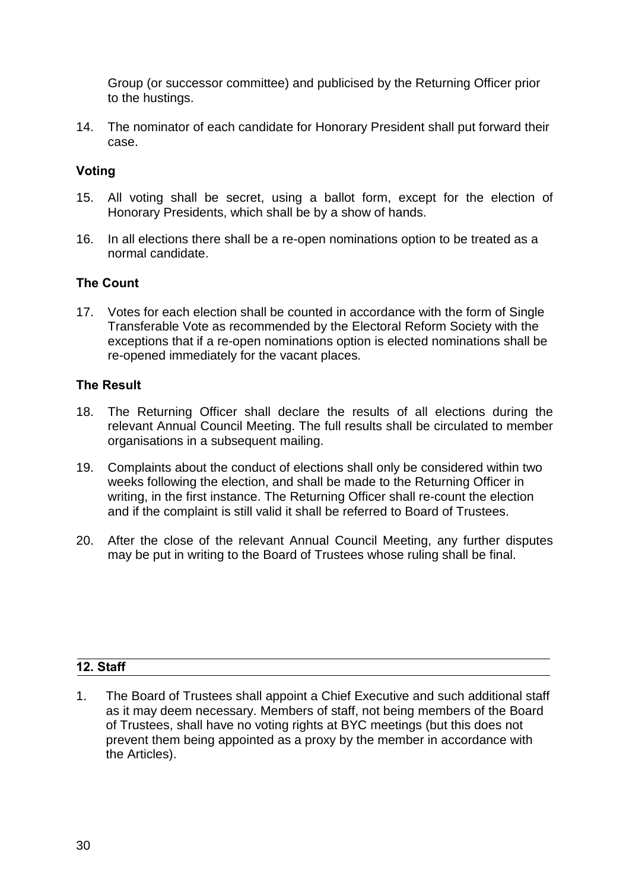Group (or successor committee) and publicised by the Returning Officer prior to the hustings.

14. The nominator of each candidate for Honorary President shall put forward their case.

## **Voting**

- 15. All voting shall be secret, using a ballot form, except for the election of Honorary Presidents, which shall be by a show of hands.
- 16. In all elections there shall be a re-open nominations option to be treated as a normal candidate.

## **The Count**

17. Votes for each election shall be counted in accordance with the form of Single Transferable Vote as recommended by the Electoral Reform Society with the exceptions that if a re-open nominations option is elected nominations shall be re-opened immediately for the vacant places.

## **The Result**

- 18. The Returning Officer shall declare the results of all elections during the relevant Annual Council Meeting. The full results shall be circulated to member organisations in a subsequent mailing.
- 19. Complaints about the conduct of elections shall only be considered within two weeks following the election, and shall be made to the Returning Officer in writing, in the first instance. The Returning Officer shall re-count the election and if the complaint is still valid it shall be referred to Board of Trustees.
- 20. After the close of the relevant Annual Council Meeting, any further disputes may be put in writing to the Board of Trustees whose ruling shall be final.

# **12. Staff**

1. The Board of Trustees shall appoint a Chief Executive and such additional staff as it may deem necessary. Members of staff, not being members of the Board of Trustees, shall have no voting rights at BYC meetings (but this does not prevent them being appointed as a proxy by the member in accordance with the Articles).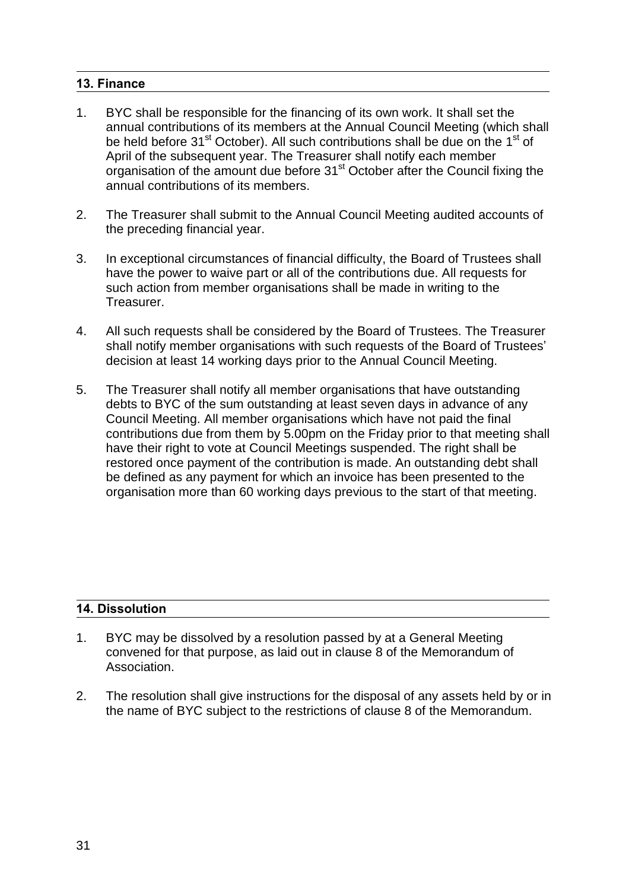## **13. Finance**

- 1. BYC shall be responsible for the financing of its own work. It shall set the annual contributions of its members at the Annual Council Meeting (which shall be held before 31<sup>st</sup> October). All such contributions shall be due on the 1<sup>st</sup> of April of the subsequent year. The Treasurer shall notify each member organisation of the amount due before 31<sup>st</sup> October after the Council fixing the annual contributions of its members.
- 2. The Treasurer shall submit to the Annual Council Meeting audited accounts of the preceding financial year.
- 3. In exceptional circumstances of financial difficulty, the Board of Trustees shall have the power to waive part or all of the contributions due. All requests for such action from member organisations shall be made in writing to the Treasurer.
- 4. All such requests shall be considered by the Board of Trustees. The Treasurer shall notify member organisations with such requests of the Board of Trustees' decision at least 14 working days prior to the Annual Council Meeting.
- 5. The Treasurer shall notify all member organisations that have outstanding debts to BYC of the sum outstanding at least seven days in advance of any Council Meeting. All member organisations which have not paid the final contributions due from them by 5.00pm on the Friday prior to that meeting shall have their right to vote at Council Meetings suspended. The right shall be restored once payment of the contribution is made. An outstanding debt shall be defined as any payment for which an invoice has been presented to the organisation more than 60 working days previous to the start of that meeting.

## **14. Dissolution**

- 1. BYC may be dissolved by a resolution passed by at a General Meeting convened for that purpose, as laid out in clause 8 of the Memorandum of Association.
- 2. The resolution shall give instructions for the disposal of any assets held by or in the name of BYC subject to the restrictions of clause 8 of the Memorandum.